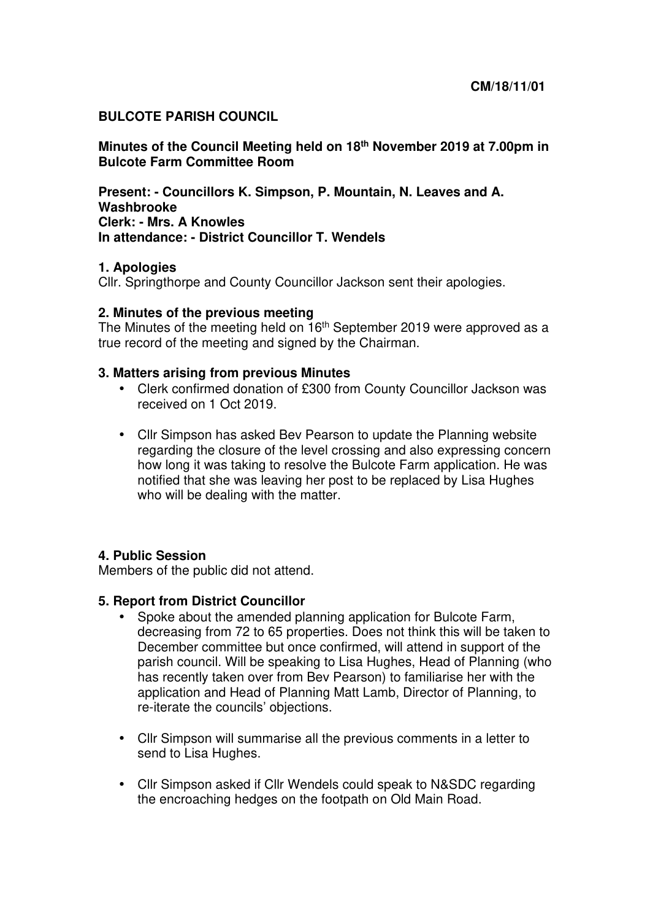### **BULCOTE PARISH COUNCIL**

**Minutes of the Council Meeting held on 18th November 2019 at 7.00pm in Bulcote Farm Committee Room** 

**Present: - Councillors K. Simpson, P. Mountain, N. Leaves and A. Washbrooke Clerk: - Mrs. A Knowles In attendance: - District Councillor T. Wendels** 

### **1. Apologies**

Cllr. Springthorpe and County Councillor Jackson sent their apologies.

#### **2. Minutes of the previous meeting**

The Minutes of the meeting held on  $16<sup>th</sup>$  September 2019 were approved as a true record of the meeting and signed by the Chairman.

#### **3. Matters arising from previous Minutes**

- Clerk confirmed donation of £300 from County Councillor Jackson was received on 1 Oct 2019.
- Cllr Simpson has asked Bev Pearson to update the Planning website regarding the closure of the level crossing and also expressing concern how long it was taking to resolve the Bulcote Farm application. He was notified that she was leaving her post to be replaced by Lisa Hughes who will be dealing with the matter.

### **4. Public Session**

Members of the public did not attend.

### **5. Report from District Councillor**

- Spoke about the amended planning application for Bulcote Farm, decreasing from 72 to 65 properties. Does not think this will be taken to December committee but once confirmed, will attend in support of the parish council. Will be speaking to Lisa Hughes, Head of Planning (who has recently taken over from Bev Pearson) to familiarise her with the application and Head of Planning Matt Lamb, Director of Planning, to re-iterate the councils' objections.
- Cllr Simpson will summarise all the previous comments in a letter to send to Lisa Hughes.
- Cllr Simpson asked if Cllr Wendels could speak to N&SDC regarding the encroaching hedges on the footpath on Old Main Road.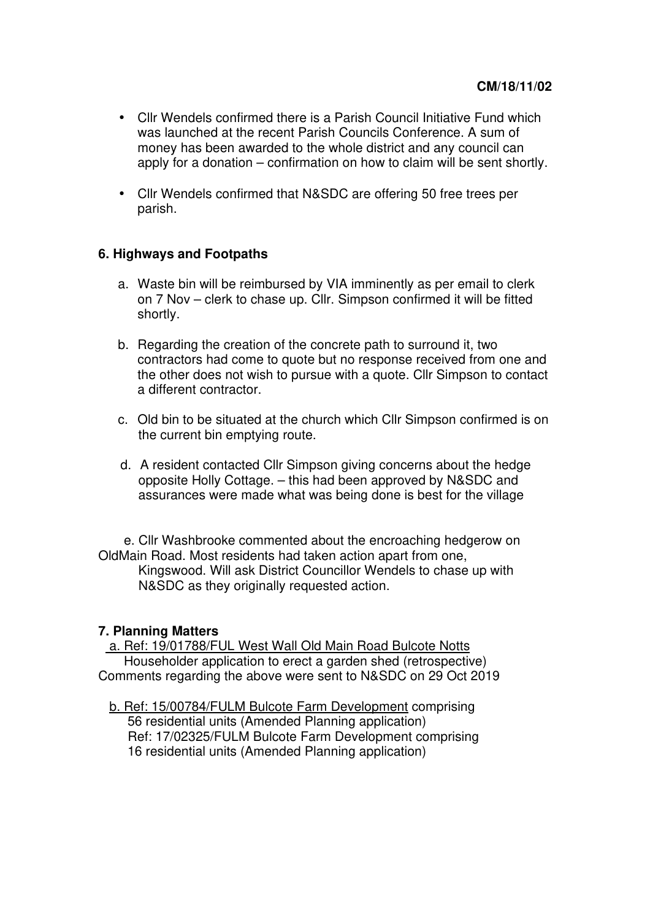- Cllr Wendels confirmed there is a Parish Council Initiative Fund which was launched at the recent Parish Councils Conference. A sum of money has been awarded to the whole district and any council can apply for a donation – confirmation on how to claim will be sent shortly.
- Cllr Wendels confirmed that N&SDC are offering 50 free trees per parish.

## **6. Highways and Footpaths**

- a. Waste bin will be reimbursed by VIA imminently as per email to clerk on 7 Nov – clerk to chase up. Cllr. Simpson confirmed it will be fitted shortly.
- b. Regarding the creation of the concrete path to surround it, two contractors had come to quote but no response received from one and the other does not wish to pursue with a quote. Cllr Simpson to contact a different contractor.
- c. Old bin to be situated at the church which Cllr Simpson confirmed is on the current bin emptying route.
- d. A resident contacted Cllr Simpson giving concerns about the hedge opposite Holly Cottage. – this had been approved by N&SDC and assurances were made what was being done is best for the village

 e. Cllr Washbrooke commented about the encroaching hedgerow on OldMain Road. Most residents had taken action apart from one, Kingswood. Will ask District Councillor Wendels to chase up with N&SDC as they originally requested action.

### **7. Planning Matters**

 a. Ref: 19/01788/FUL West Wall Old Main Road Bulcote Notts Householder application to erect a garden shed (retrospective) Comments regarding the above were sent to N&SDC on 29 Oct 2019

b. Ref: 15/00784/FULM Bulcote Farm Development comprising 56 residential units (Amended Planning application) Ref: 17/02325/FULM Bulcote Farm Development comprising 16 residential units (Amended Planning application)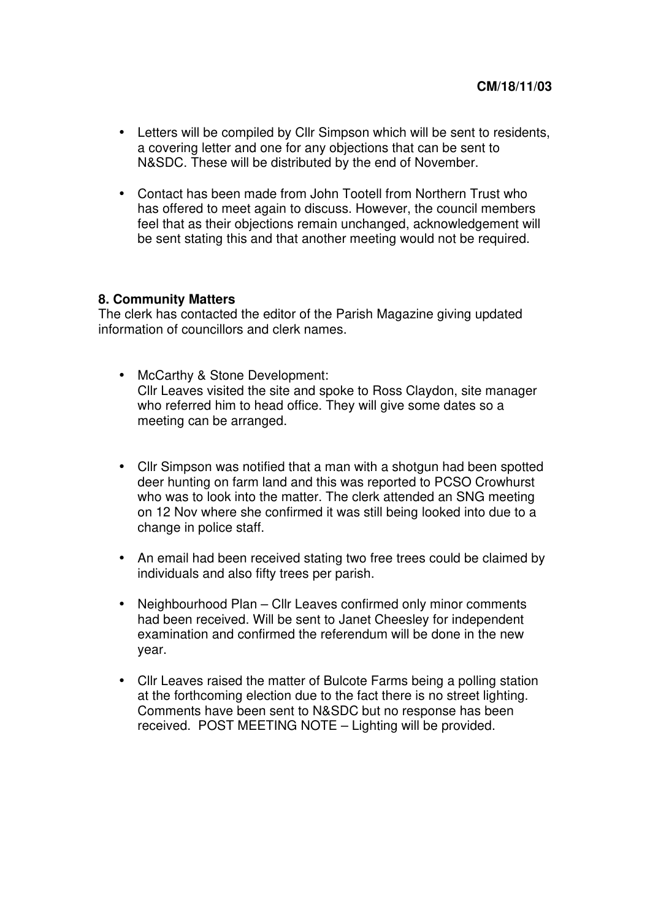- Letters will be compiled by Cllr Simpson which will be sent to residents, a covering letter and one for any objections that can be sent to N&SDC. These will be distributed by the end of November.
- Contact has been made from John Tootell from Northern Trust who has offered to meet again to discuss. However, the council members feel that as their objections remain unchanged, acknowledgement will be sent stating this and that another meeting would not be required.

#### **8. Community Matters**

The clerk has contacted the editor of the Parish Magazine giving updated information of councillors and clerk names.

- McCarthy & Stone Development: Cllr Leaves visited the site and spoke to Ross Claydon, site manager who referred him to head office. They will give some dates so a meeting can be arranged.
- Cllr Simpson was notified that a man with a shotgun had been spotted deer hunting on farm land and this was reported to PCSO Crowhurst who was to look into the matter. The clerk attended an SNG meeting on 12 Nov where she confirmed it was still being looked into due to a change in police staff.
- An email had been received stating two free trees could be claimed by individuals and also fifty trees per parish.
- Neighbourhood Plan Cllr Leaves confirmed only minor comments had been received. Will be sent to Janet Cheesley for independent examination and confirmed the referendum will be done in the new year.
- Cllr Leaves raised the matter of Bulcote Farms being a polling station at the forthcoming election due to the fact there is no street lighting. Comments have been sent to N&SDC but no response has been received. POST MEETING NOTE – Lighting will be provided.